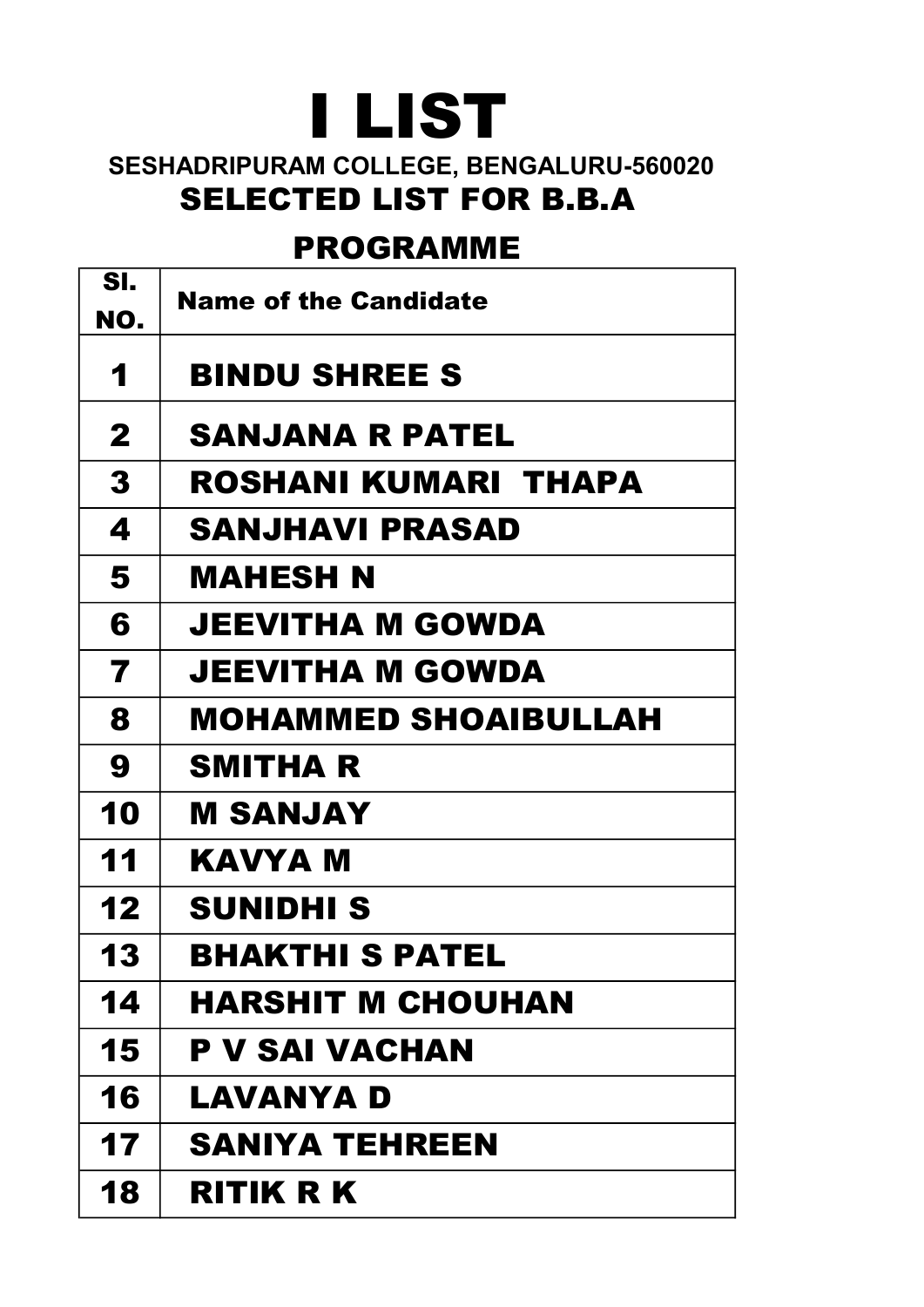## I LIST

## SESHADRIPURAM COLLEGE, BENGALURU-560020 SELECTED LIST FOR B.B.A

## PROGRAMME

| SI.          | <b>Name of the Candidate</b> |
|--------------|------------------------------|
| NO.          |                              |
| 1            | <b>BINDU SHREE S</b>         |
| $\mathbf{2}$ | <b>SANJANA R PATEL</b>       |
| 3            | ROSHANI KUMARI THAPA         |
| 4            | SANJHAVI PRASAD              |
| 5            | MAHESH N                     |
| 6            | JEEVITHA M GOWDA             |
| 7            | JEEVITHA M GOWDA             |
| 8            | MOHAMMED SHOAIBULLAH         |
| 9            | SMITHA R                     |
| 10           | M SANJAY                     |
| 11           | KAVYA M                      |
| 12           | SUNIDHI S                    |
| 13           | BHAKTHI S PATEL              |
| 14           | <b>HARSHIT M CHOUHAN</b>     |
| 15           | P V SAI VACHAN               |
| 16           | LAVANYA D                    |
| 17           | <b>SANIYA TEHREEN</b>        |
| 18           | RITIK R K                    |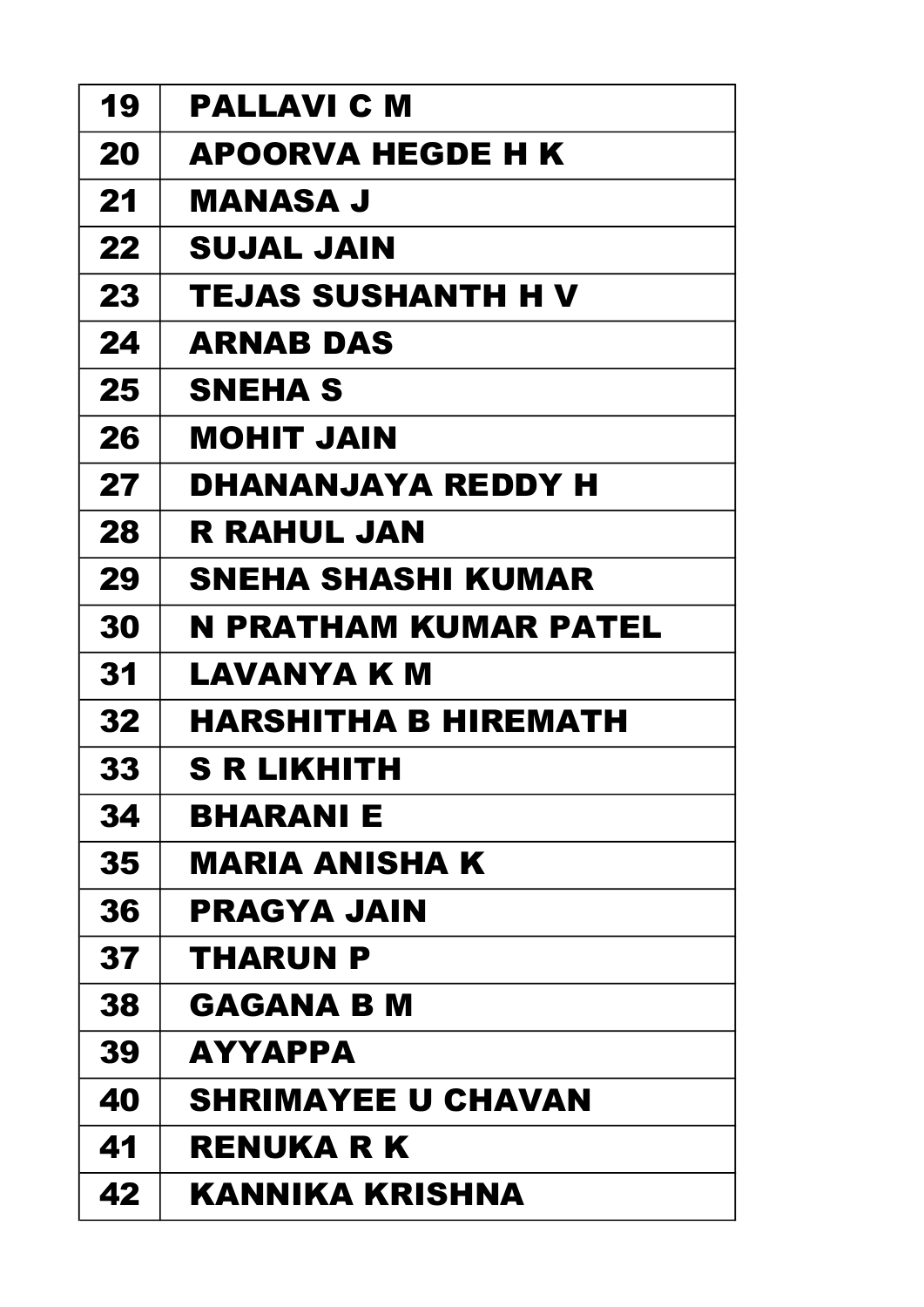| 19 | PALLAVI C M               |
|----|---------------------------|
| 20 | <b>APOORVA HEGDE H K</b>  |
| 21 | MANASA J                  |
| 22 | SUJAL JAIN                |
| 23 | TEJAS SUSHANTH H V        |
| 24 | <b>ARNAB DAS</b>          |
| 25 | <b>SNEHA S</b>            |
| 26 | MOHIT JAIN                |
| 27 | DHANANJAYA REDDY H        |
| 28 | R RAHUL JAN               |
| 29 | SNEHA SHASHI KUMAR        |
| 30 | N PRATHAM KUMAR PATEL     |
| 31 | LAVANYA K M               |
| 32 | HARSHITHA B HIREMATH      |
| 33 | S R LIKHITH               |
| 34 | <b>BHARANIE</b>           |
| 35 | MARIA ANISHA K            |
| 36 | PRAGYA JAIN               |
| 37 | THARUN P                  |
| 38 | GAGANA B M                |
| 39 | <b>AYYAPPA</b>            |
| 40 | <b>SHRIMAYEE U CHAVAN</b> |
| 41 | <b>RENUKA R K</b>         |
|    |                           |